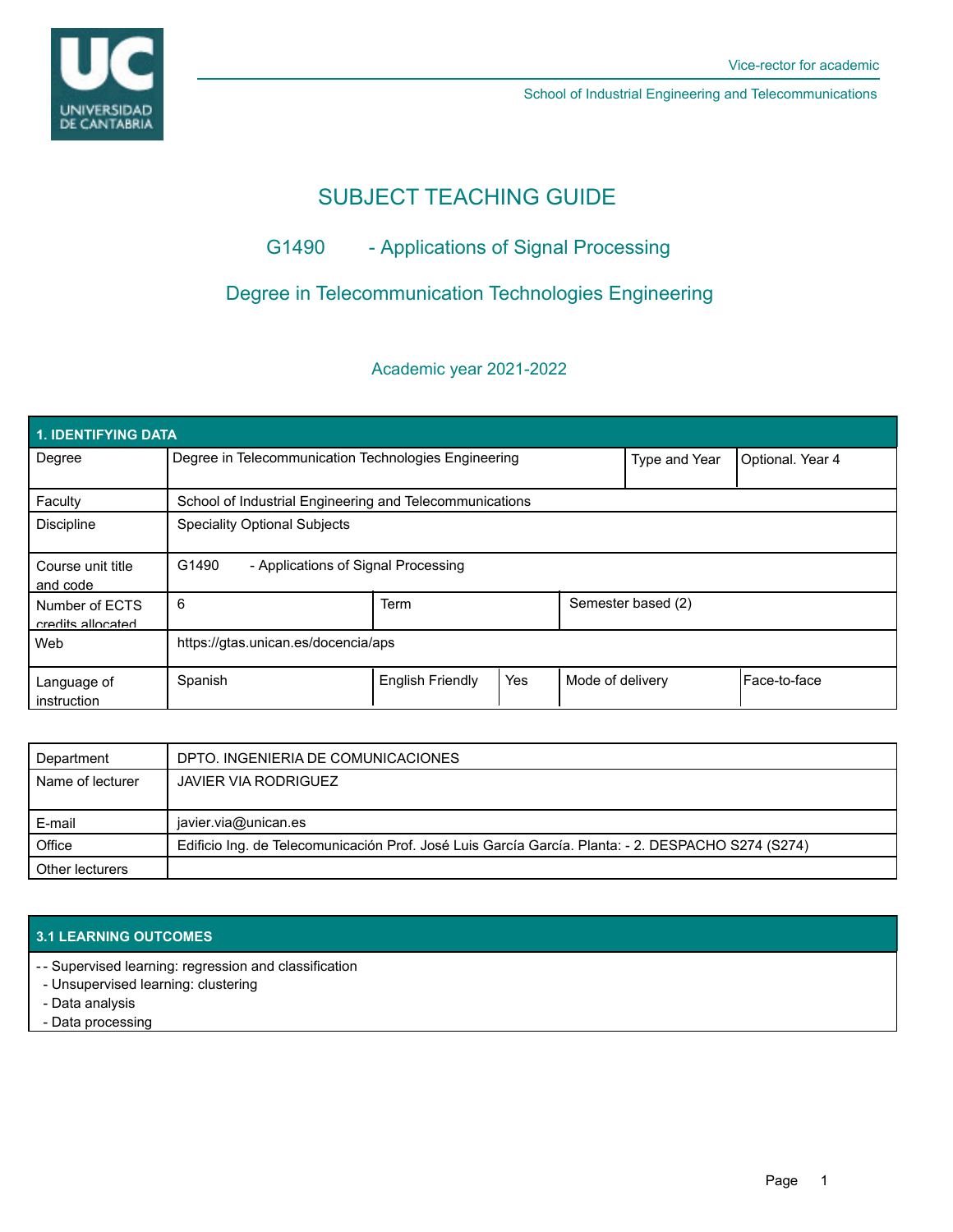

School of Industrial Engineering and Telecommunications

## SUBJECT TEACHING GUIDE

## G1490 - Applications of Signal Processing

## Degree in Telecommunication Technologies Engineering

### Academic year 2021-2022

| <b>1. IDENTIFYING DATA</b>          |                                                         |                         |     |                    |                  |              |  |  |  |
|-------------------------------------|---------------------------------------------------------|-------------------------|-----|--------------------|------------------|--------------|--|--|--|
| Degree                              | Degree in Telecommunication Technologies Engineering    |                         |     | Type and Year      | Optional. Year 4 |              |  |  |  |
| Faculty                             | School of Industrial Engineering and Telecommunications |                         |     |                    |                  |              |  |  |  |
| <b>Discipline</b>                   | <b>Speciality Optional Subjects</b>                     |                         |     |                    |                  |              |  |  |  |
| Course unit title<br>and code       | G1490<br>- Applications of Signal Processing            |                         |     |                    |                  |              |  |  |  |
| Number of ECTS<br>credits allocated | 6                                                       | <b>Term</b>             |     | Semester based (2) |                  |              |  |  |  |
| Web                                 | https://gtas.unican.es/docencia/aps                     |                         |     |                    |                  |              |  |  |  |
| Language of<br>instruction          | Spanish                                                 | <b>English Friendly</b> | Yes | Mode of delivery   |                  | Face-to-face |  |  |  |

| Department       | DPTO. INGENIERIA DE COMUNICACIONES                                                                 |  |  |  |
|------------------|----------------------------------------------------------------------------------------------------|--|--|--|
| Name of lecturer | JAVIER VIA RODRIGUEZ                                                                               |  |  |  |
|                  |                                                                                                    |  |  |  |
| E-mail           | javier.via@unican.es                                                                               |  |  |  |
| Office           | Edificio Ing. de Telecomunicación Prof. José Luis García García. Planta: - 2. DESPACHO S274 (S274) |  |  |  |
| Other lecturers  |                                                                                                    |  |  |  |

#### **3.1 LEARNING OUTCOMES**

- Supervised learning: regression and classification -

- Unsupervised learning: clustering
- Data analysis

- Data processing